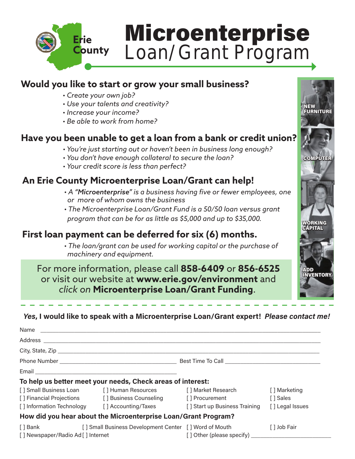

# Microenterprise Loan/Grant Program

NEW **FURNITURE** 

**COMPUTER** 

WORKING **CAPITAL** 

ADD INVENTORY

#### **Would you like to start or grow your small business?**

- *Create your own job?*
- *Use your talents and creativity?*
- *Increase your income?*
- *Be able to work from home?*

#### **Have you been unable to get a loan from a bank or credit union?**

- *You're just starting out or haven't been in business long enough?*
- *• You don't have enough collateral to secure the loan?*
- *• Your credit score is less than perfect?*

### **An Erie County Microenterprise Loan/Grant can help!**

- *A "Microenterprise" is a business having five or fewer employees, one or more of whom owns the business*
- *The Microenterprise Loan/Grant Fund is a 50/50 loan versus grant program that can be for as little as \$5,000 and up to \$35,000.*

## **First loan payment can be deferred for six (6) months.**

*• The loan/grant can be used for working capital or the purchase of machinery and equipment.*

For more information, please call **858-6409** or **856-6525** or visit our website at **www.erie.gov/environment** and *click on* **Microenterprise Loan/Grant Funding**.

#### *Yes***, I would like to speak with a Microenterprise Loan/Grant expert!** *Please contact me!*

| To help us better meet your needs, Check areas of interest:                                                                                                                                                                          |                                                              |                               |                 |  |
|--------------------------------------------------------------------------------------------------------------------------------------------------------------------------------------------------------------------------------------|--------------------------------------------------------------|-------------------------------|-----------------|--|
|                                                                                                                                                                                                                                      | [] Small Business Loan [] Human Resources [] Market Research |                               | [] Marketing    |  |
|                                                                                                                                                                                                                                      | [] Financial Projections [] Business Counseling              | [] Procurement                | [] Sales        |  |
|                                                                                                                                                                                                                                      | [] Information Technology [] Accounting/Taxes                | [] Start up Business Training | [] Legal Issues |  |
| How did you hear about the Microenterprise Loan/Grant Program?                                                                                                                                                                       |                                                              |                               |                 |  |
| [ ] Bank <b>compared to the set of the set of the set of the set of the set of the set of the set of the set of the set of the set of the set of the set of the set of the set of the set of the set of the set of the set of th</b> | [] Small Business Development Center [] Word of Mouth        |                               | [ ] Job Fair    |  |
| [] Newspaper/Radio Ad [] Internet                                                                                                                                                                                                    |                                                              |                               |                 |  |